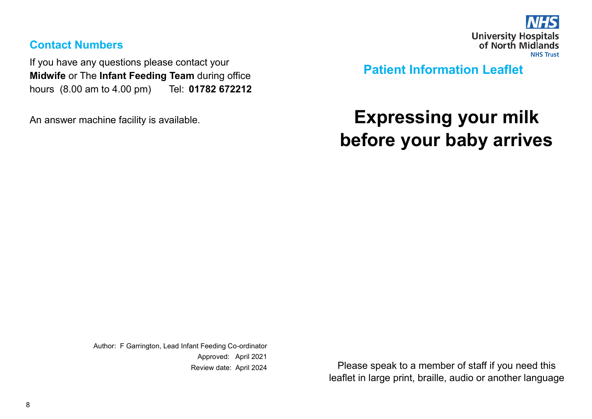

#### **Contact Numbers**

If you have any questions please contact your **Midwife** or The **Infant Feeding Team** during office hours (8.00 am to 4.00 pm) Tel: **01782 672212** 

An answer machine facility is available.

**Patient Information Leaflet**

# **Expressing your milk before your baby arrives**

Author: F Garrington, Lead Infant Feeding Co-ordinator Approved: April 2021

Review date: April 2024 Please speak to a member of staff if you need this leaflet in large print, braille, audio or another language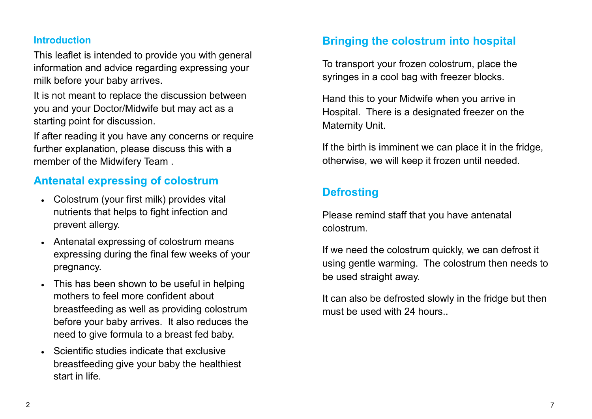#### **Introduction**

This leaflet is intended to provide you with general information and advice regarding expressing your milk before your baby arrives.

It is not meant to replace the discussion between you and your Doctor/Midwife but may act as a starting point for discussion.

If after reading it you have any concerns or require further explanation, please discuss this with a member of the Midwifery Team .

#### **Antenatal expressing of colostrum**

- Colostrum (your first milk) provides vital nutrients that helps to fight infection and prevent allergy.
- Antenatal expressing of colostrum means expressing during the final few weeks of your pregnancy.
- This has been shown to be useful in helping mothers to feel more confident about breastfeeding as well as providing colostrum before your baby arrives. It also reduces the need to give formula to a breast fed baby.
- Scientific studies indicate that exclusive breastfeeding give your baby the healthiest start in life.

#### **Bringing the colostrum into hospital**

To transport your frozen colostrum, place the syringes in a cool bag with freezer blocks.

Hand this to your Midwife when you arrive in Hospital. There is a designated freezer on the Maternity Unit.

If the birth is imminent we can place it in the fridge, otherwise, we will keep it frozen until needed.

## **Defrosting**

Please remind staff that you have antenatal colostrum.

If we need the colostrum quickly, we can defrost it using gentle warming. The colostrum then needs to be used straight away.

It can also be defrosted slowly in the fridge but then must be used with 24 hours.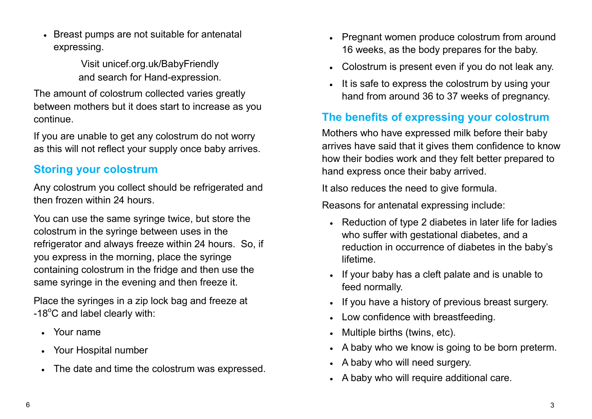• Breast pumps are not suitable for antenatal expressing.

> Visit unicef.org.uk/BabyFriendly and search for Hand-expression.

The amount of colostrum collected varies greatly between mothers but it does start to increase as you continue.

If you are unable to get any colostrum do not worry as this will not reflect your supply once baby arrives.

### **Storing your colostrum**

Any colostrum you collect should be refrigerated and then frozen within 24 hours.

You can use the same syringe twice, but store the colostrum in the syringe between uses in the refrigerator and always freeze within 24 hours. So, if you express in the morning, place the syringe containing colostrum in the fridge and then use the same syringe in the evening and then freeze it.

Place the syringes in a zip lock bag and freeze at  $-18^{\circ}$ C and label clearly with:

- Your name
- Your Hospital number
- The date and time the colostrum was expressed.
- Pregnant women produce colostrum from around 16 weeks, as the body prepares for the baby.
- Colostrum is present even if you do not leak any.
- It is safe to express the colostrum by using your hand from around 36 to 37 weeks of pregnancy.

## **The benefits of expressing your colostrum**

Mothers who have expressed milk before their baby arrives have said that it gives them confidence to know how their bodies work and they felt better prepared to hand express once their baby arrived.

It also reduces the need to give formula.

Reasons for antenatal expressing include:

- Reduction of type 2 diabetes in later life for ladies who suffer with gestational diabetes, and a reduction in occurrence of diabetes in the baby's lifetime.
- If your baby has a cleft palate and is unable to feed normally.
- If you have a history of previous breast surgery.
- Low confidence with breastfeeding.
- Multiple births (twins, etc).
- A baby who we know is going to be born preterm.
- A baby who will need surgery.
- A baby who will require additional care.